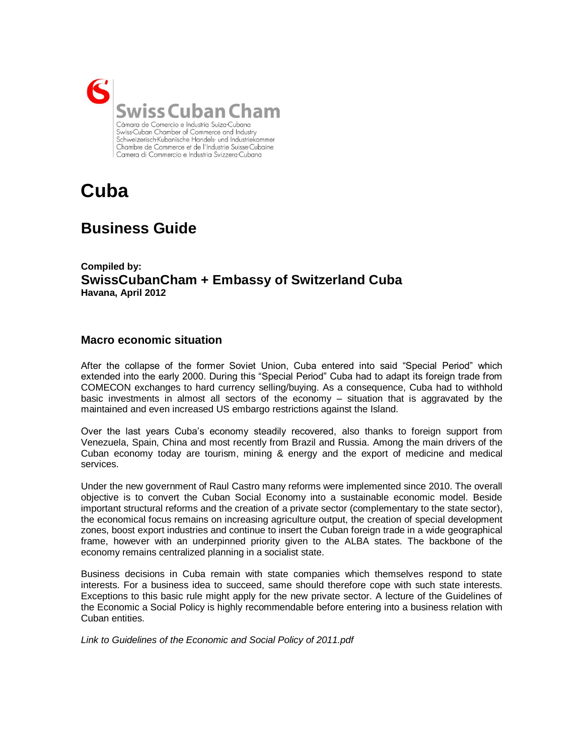

# **Cuba**

## **Business Guide**

**Compiled by: SwissCubanCham + Embassy of Switzerland Cuba Havana, April 2012**

## **Macro economic situation**

After the collapse of the former Soviet Union, Cuba entered into said "Special Period" which extended into the early 2000. During this "Special Period" Cuba had to adapt its foreign trade from COMECON exchanges to hard currency selling/buying. As a consequence, Cuba had to withhold basic investments in almost all sectors of the economy – situation that is aggravated by the maintained and even increased US embargo restrictions against the Island.

Over the last years Cuba's economy steadily recovered, also thanks to foreign support from Venezuela, Spain, China and most recently from Brazil and Russia. Among the main drivers of the Cuban economy today are tourism, mining & energy and the export of medicine and medical services.

Under the new government of Raul Castro many reforms were implemented since 2010. The overall objective is to convert the Cuban Social Economy into a sustainable economic model. Beside important structural reforms and the creation of a private sector (complementary to the state sector), the economical focus remains on increasing agriculture output, the creation of special development zones, boost export industries and continue to insert the Cuban foreign trade in a wide geographical frame, however with an underpinned priority given to the ALBA states. The backbone of the economy remains centralized planning in a socialist state.

Business decisions in Cuba remain with state companies which themselves respond to state interests. For a business idea to succeed, same should therefore cope with such state interests. Exceptions to this basic rule might apply for the new private sector. A lecture of the Guidelines of the Economic a Social Policy is highly recommendable before entering into a business relation with Cuban entities.

*Link to Guidelines of the Economic and Social Policy of 2011.pdf*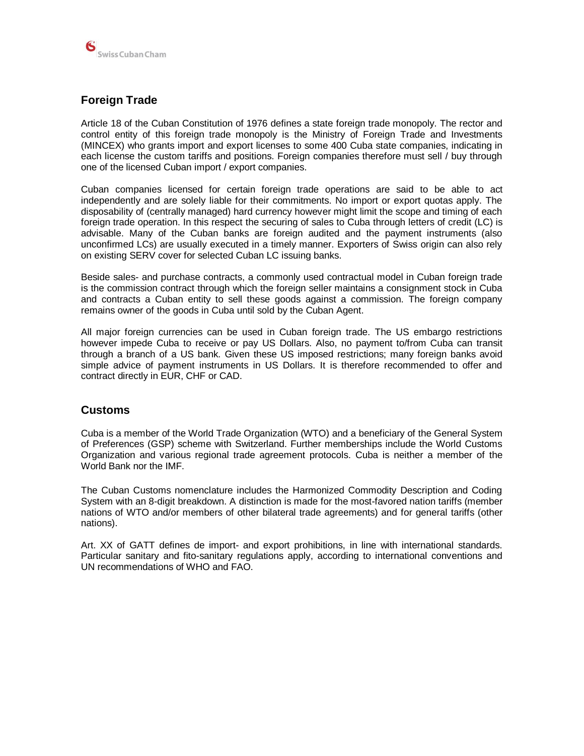

## **Foreign Trade**

Article 18 of the Cuban Constitution of 1976 defines a state foreign trade monopoly. The rector and control entity of this foreign trade monopoly is the Ministry of Foreign Trade and Investments (MINCEX) who grants import and export licenses to some 400 Cuba state companies, indicating in each license the custom tariffs and positions. Foreign companies therefore must sell / buy through one of the licensed Cuban import / export companies.

Cuban companies licensed for certain foreign trade operations are said to be able to act independently and are solely liable for their commitments. No import or export quotas apply. The disposability of (centrally managed) hard currency however might limit the scope and timing of each foreign trade operation. In this respect the securing of sales to Cuba through letters of credit (LC) is advisable. Many of the Cuban banks are foreign audited and the payment instruments (also unconfirmed LCs) are usually executed in a timely manner. Exporters of Swiss origin can also rely on existing SERV cover for selected Cuban LC issuing banks.

Beside sales- and purchase contracts, a commonly used contractual model in Cuban foreign trade is the commission contract through which the foreign seller maintains a consignment stock in Cuba and contracts a Cuban entity to sell these goods against a commission. The foreign company remains owner of the goods in Cuba until sold by the Cuban Agent.

All major foreign currencies can be used in Cuban foreign trade. The US embargo restrictions however impede Cuba to receive or pay US Dollars. Also, no payment to/from Cuba can transit through a branch of a US bank. Given these US imposed restrictions; many foreign banks avoid simple advice of payment instruments in US Dollars. It is therefore recommended to offer and contract directly in EUR, CHF or CAD.

## **Customs**

Cuba is a member of the World Trade Organization (WTO) and a beneficiary of the General System of Preferences (GSP) scheme with Switzerland. Further memberships include the World Customs Organization and various regional trade agreement protocols. Cuba is neither a member of the World Bank nor the IMF.

The Cuban Customs nomenclature includes the Harmonized Commodity Description and Coding System with an 8-digit breakdown. A distinction is made for the most-favored nation tariffs (member nations of WTO and/or members of other bilateral trade agreements) and for general tariffs (other nations).

Art. XX of GATT defines de import- and export prohibitions, in line with international standards. Particular sanitary and fito-sanitary regulations apply, according to international conventions and UN recommendations of WHO and FAO.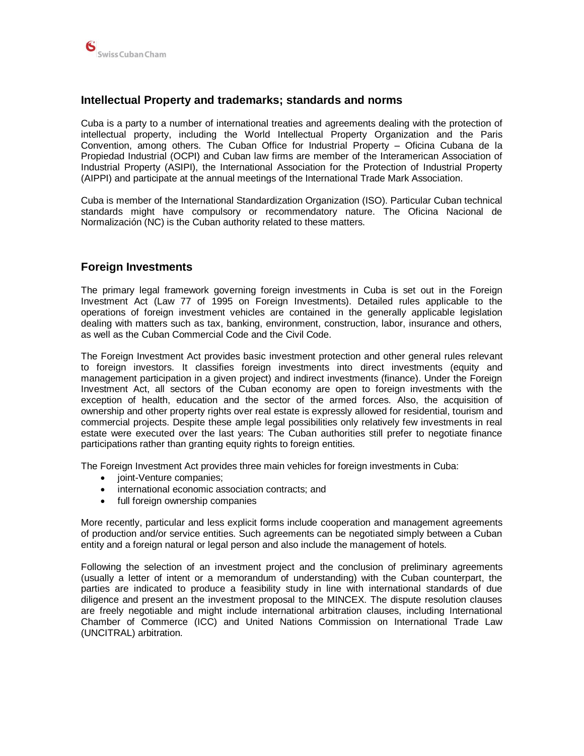

## **Intellectual Property and trademarks; standards and norms**

Cuba is a party to a number of international treaties and agreements dealing with the protection of intellectual property, including the World Intellectual Property Organization and the Paris Convention, among others. The Cuban Office for Industrial Property – Oficina Cubana de la Propiedad Industrial (OCPI) and Cuban law firms are member of the Interamerican Association of Industrial Property (ASIPI), the International Association for the Protection of Industrial Property (AIPPI) and participate at the annual meetings of the International Trade Mark Association.

Cuba is member of the International Standardization Organization (ISO). Particular Cuban technical standards might have compulsory or recommendatory nature. The Oficina Nacional de Normalización (NC) is the Cuban authority related to these matters.

## **Foreign Investments**

The primary legal framework governing foreign investments in Cuba is set out in the Foreign Investment Act (Law 77 of 1995 on Foreign Investments). Detailed rules applicable to the operations of foreign investment vehicles are contained in the generally applicable legislation dealing with matters such as tax, banking, environment, construction, labor, insurance and others, as well as the Cuban Commercial Code and the Civil Code.

The Foreign Investment Act provides basic investment protection and other general rules relevant to foreign investors. It classifies foreign investments into direct investments (equity and management participation in a given project) and indirect investments (finance). Under the Foreign Investment Act, all sectors of the Cuban economy are open to foreign investments with the exception of health, education and the sector of the armed forces. Also, the acquisition of ownership and other property rights over real estate is expressly allowed for residential, tourism and commercial projects. Despite these ample legal possibilities only relatively few investments in real estate were executed over the last years: The Cuban authorities still prefer to negotiate finance participations rather than granting equity rights to foreign entities.

The Foreign Investment Act provides three main vehicles for foreign investments in Cuba:

- joint-Venture companies;
- international economic association contracts; and
- full foreign ownership companies

More recently, particular and less explicit forms include cooperation and management agreements of production and/or service entities. Such agreements can be negotiated simply between a Cuban entity and a foreign natural or legal person and also include the management of hotels.

Following the selection of an investment project and the conclusion of preliminary agreements (usually a letter of intent or a memorandum of understanding) with the Cuban counterpart, the parties are indicated to produce a feasibility study in line with international standards of due diligence and present an the investment proposal to the MINCEX. The dispute resolution clauses are freely negotiable and might include international arbitration clauses, including International Chamber of Commerce (ICC) and United Nations Commission on International Trade Law (UNCITRAL) arbitration.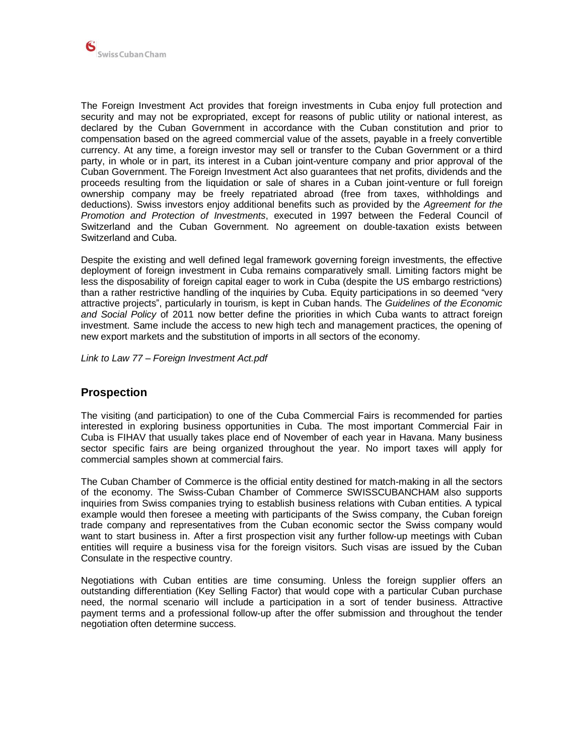

The Foreign Investment Act provides that foreign investments in Cuba enjoy full protection and security and may not be expropriated, except for reasons of public utility or national interest, as declared by the Cuban Government in accordance with the Cuban constitution and prior to compensation based on the agreed commercial value of the assets, payable in a freely convertible currency. At any time, a foreign investor may sell or transfer to the Cuban Government or a third party, in whole or in part, its interest in a Cuban joint-venture company and prior approval of the Cuban Government. The Foreign Investment Act also guarantees that net profits, dividends and the proceeds resulting from the liquidation or sale of shares in a Cuban joint-venture or full foreign ownership company may be freely repatriated abroad (free from taxes, withholdings and deductions). Swiss investors enjoy additional benefits such as provided by the *Agreement for the Promotion and Protection of Investments*, executed in 1997 between the Federal Council of Switzerland and the Cuban Government. No agreement on double-taxation exists between Switzerland and Cuba.

Despite the existing and well defined legal framework governing foreign investments, the effective deployment of foreign investment in Cuba remains comparatively small. Limiting factors might be less the disposability of foreign capital eager to work in Cuba (despite the US embargo restrictions) than a rather restrictive handling of the inquiries by Cuba. Equity participations in so deemed "very attractive projects", particularly in tourism, is kept in Cuban hands. The *Guidelines of the Economic and Social Policy* of 2011 now better define the priorities in which Cuba wants to attract foreign investment. Same include the access to new high tech and management practices, the opening of new export markets and the substitution of imports in all sectors of the economy.

*Link to Law 77 – Foreign Investment Act.pdf*

## **Prospection**

The visiting (and participation) to one of the Cuba Commercial Fairs is recommended for parties interested in exploring business opportunities in Cuba. The most important Commercial Fair in Cuba is FIHAV that usually takes place end of November of each year in Havana. Many business sector specific fairs are being organized throughout the year. No import taxes will apply for commercial samples shown at commercial fairs.

The Cuban Chamber of Commerce is the official entity destined for match-making in all the sectors of the economy. The Swiss-Cuban Chamber of Commerce SWISSCUBANCHAM also supports inquiries from Swiss companies trying to establish business relations with Cuban entities. A typical example would then foresee a meeting with participants of the Swiss company, the Cuban foreign trade company and representatives from the Cuban economic sector the Swiss company would want to start business in. After a first prospection visit any further follow-up meetings with Cuban entities will require a business visa for the foreign visitors. Such visas are issued by the Cuban Consulate in the respective country.

Negotiations with Cuban entities are time consuming. Unless the foreign supplier offers an outstanding differentiation (Key Selling Factor) that would cope with a particular Cuban purchase need, the normal scenario will include a participation in a sort of tender business. Attractive payment terms and a professional follow-up after the offer submission and throughout the tender negotiation often determine success.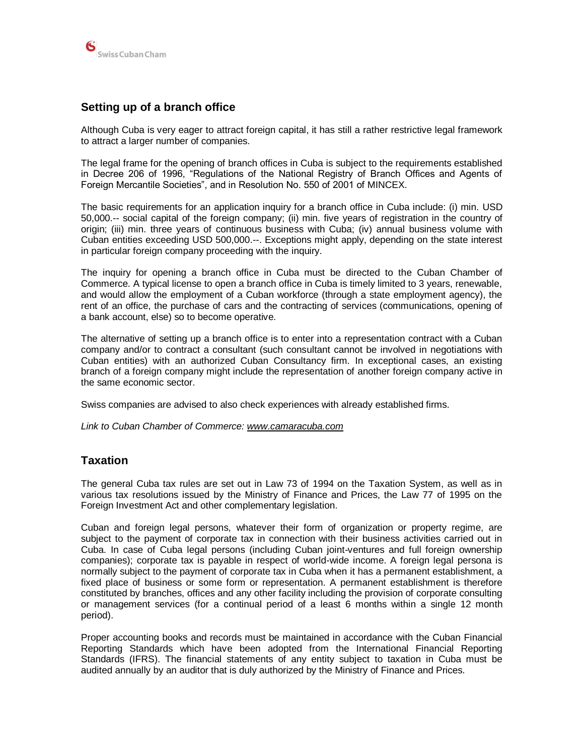

## **Setting up of a branch office**

Although Cuba is very eager to attract foreign capital, it has still a rather restrictive legal framework to attract a larger number of companies.

The legal frame for the opening of branch offices in Cuba is subject to the requirements established in Decree 206 of 1996, "Regulations of the National Registry of Branch Offices and Agents of Foreign Mercantile Societies", and in Resolution No. 550 of 2001 of MINCEX.

The basic requirements for an application inquiry for a branch office in Cuba include: (i) min. USD 50,000.-- social capital of the foreign company; (ii) min. five years of registration in the country of origin; (iii) min. three years of continuous business with Cuba; (iv) annual business volume with Cuban entities exceeding USD 500,000.--. Exceptions might apply, depending on the state interest in particular foreign company proceeding with the inquiry.

The inquiry for opening a branch office in Cuba must be directed to the Cuban Chamber of Commerce. A typical license to open a branch office in Cuba is timely limited to 3 years, renewable, and would allow the employment of a Cuban workforce (through a state employment agency), the rent of an office, the purchase of cars and the contracting of services (communications, opening of a bank account, else) so to become operative.

The alternative of setting up a branch office is to enter into a representation contract with a Cuban company and/or to contract a consultant (such consultant cannot be involved in negotiations with Cuban entities) with an authorized Cuban Consultancy firm. In exceptional cases, an existing branch of a foreign company might include the representation of another foreign company active in the same economic sector.

Swiss companies are advised to also check experiences with already established firms.

*Link to Cuban Chamber of Commerce: [www.camaracuba.com](http://www.camaracuba.com/)*

## **Taxation**

The general Cuba tax rules are set out in Law 73 of 1994 on the Taxation System, as well as in various tax resolutions issued by the Ministry of Finance and Prices, the Law 77 of 1995 on the Foreign Investment Act and other complementary legislation.

Cuban and foreign legal persons, whatever their form of organization or property regime, are subject to the payment of corporate tax in connection with their business activities carried out in Cuba. In case of Cuba legal persons (including Cuban joint-ventures and full foreign ownership companies); corporate tax is payable in respect of world-wide income. A foreign legal persona is normally subject to the payment of corporate tax in Cuba when it has a permanent establishment, a fixed place of business or some form or representation. A permanent establishment is therefore constituted by branches, offices and any other facility including the provision of corporate consulting or management services (for a continual period of a least 6 months within a single 12 month period).

Proper accounting books and records must be maintained in accordance with the Cuban Financial Reporting Standards which have been adopted from the International Financial Reporting Standards (IFRS). The financial statements of any entity subject to taxation in Cuba must be audited annually by an auditor that is duly authorized by the Ministry of Finance and Prices.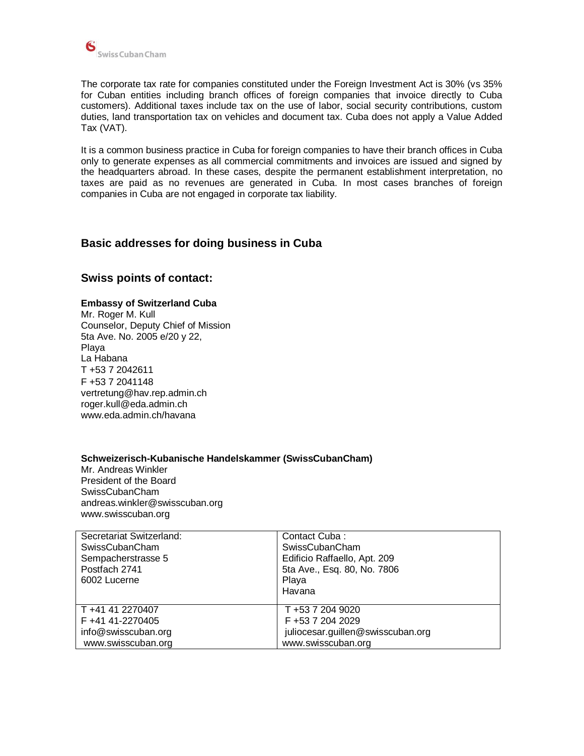

The corporate tax rate for companies constituted under the Foreign Investment Act is 30% (vs 35% for Cuban entities including branch offices of foreign companies that invoice directly to Cuba customers). Additional taxes include tax on the use of labor, social security contributions, custom duties, land transportation tax on vehicles and document tax. Cuba does not apply a Value Added Tax (VAT).

It is a common business practice in Cuba for foreign companies to have their branch offices in Cuba only to generate expenses as all commercial commitments and invoices are issued and signed by the headquarters abroad. In these cases, despite the permanent establishment interpretation, no taxes are paid as no revenues are generated in Cuba. In most cases branches of foreign companies in Cuba are not engaged in corporate tax liability.

## **Basic addresses for doing business in Cuba**

## **Swiss points of contact:**

#### **Embassy of Switzerland Cuba**

Mr. Roger M. Kull Counselor, Deputy Chief of Mission 5ta Ave. No. 2005 e/20 y 22, Playa La Habana T +53 7 2042611 F +53 7 2041148 vertretung@hav.rep.admin.ch roger.kull@eda.admin.ch www.eda.admin.ch/havana

#### **Schweizerisch-Kubanische Handelskammer (SwissCubanCham)**

Mr. Andreas Winkler President of the Board SwissCubanCham andreas.winkler@swisscuban.org www.swisscuban.org

| Secretariat Switzerland: | Contact Cuba:                     |
|--------------------------|-----------------------------------|
| SwissCubanCham           | SwissCubanCham                    |
| Sempacherstrasse 5       | Edificio Raffaello, Apt. 209      |
| Postfach 2741            | 5ta Ave., Esq. 80, No. 7806       |
| 6002 Lucerne             | Playa                             |
|                          | Havana                            |
| T +41 41 2270407         | T +53 7 204 9020                  |
|                          |                                   |
| F +41 41-2270405         | F +53 7 204 2029                  |
| info@swisscuban.org      | juliocesar.guillen@swisscuban.org |
| www.swisscuban.org       | www.swisscuban.org                |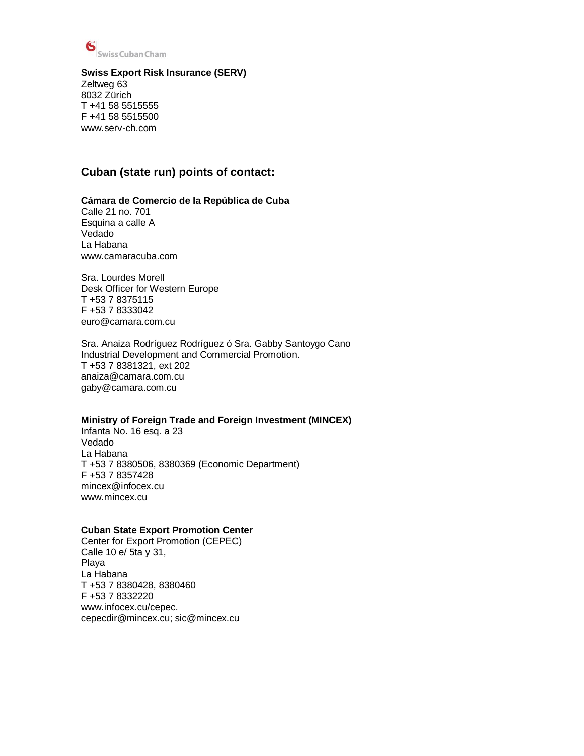

#### **Swiss Export Risk Insurance (SERV)**

Zeltweg 63 8032 Zürich T +41 58 5515555 F +41 58 5515500 www.serv-ch.com

## **Cuban (state run) points of contact:**

#### **Cámara de Comercio de la República de Cuba**

Calle 21 no. 701 Esquina a calle A Vedado La Habana www.camaracuba.com

Sra. Lourdes Morell Desk Officer for Western Europe T +53 7 8375115 F +53 7 8333042 euro@camara.com.cu

Sra. Anaiza Rodríguez Rodríguez ó Sra. Gabby Santoygo Cano Industrial Development and Commercial Promotion. T +53 7 8381321, ext 202 anaiza@camara.com.cu gaby@camara.com.cu

#### **Ministry of Foreign Trade and Foreign Investment (MINCEX)**

Infanta No. 16 esq. a 23 Vedado La Habana T +53 7 8380506, 8380369 (Economic Department) F +53 7 8357428 mincex@infocex.cu www.mincex.cu

#### **Cuban State Export Promotion Center**

Center for Export Promotion (CEPEC) Calle 10 e/ 5ta y 31, Playa La Habana T +53 7 8380428, 8380460 F +53 7 8332220 www.infocex.cu/cepec. cepecdir@mincex.cu; sic@mincex.cu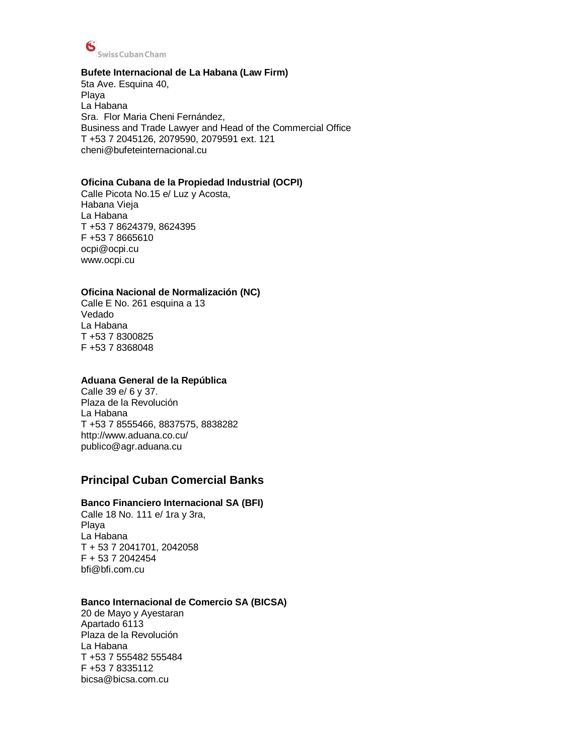

#### **Bufete Internacional de La Habana (Law Firm)**

5ta Ave. Esquina 40, Playa La Habana Sra. Flor Maria Cheni Fernández, Business and Trade Lawyer and Head of the Commercial Office T +53 7 2045126, 2079590, 2079591 ext. 121 cheni@bufeteinternacional.cu

#### **Oficina Cubana de la Propiedad Industrial (OCPI)**

Calle Picota No.15 e/ Luz y Acosta, Habana Vieja La Habana T +53 7 8624379, 8624395 F +53 7 8665610 ocpi@ocpi.cu [www.ocpi.cu](http://www.ocpi.cu/)

#### **Oficina Nacional de Normalización (NC)**

Calle E No. 261 esquina a 13 Vedado La Habana T +53 7 8300825 F +53 7 8368048

#### **Aduana General de la República**

Calle 39 e/ 6 y 37. Plaza de la Revolución La Habana T +53 7 8555466, 8837575, 8838282 http://www.aduana.co.cu/ publico@agr.aduana.cu

## **Principal Cuban Comercial Banks**

#### **Banco Financiero Internacional SA (BFI)**

Calle 18 No. 111 e/ 1ra y 3ra, Playa La Habana T + 53 7 2041701, 2042058 F + 53 7 2042454 [bfi@bfi.com.cu](mailto:bfi@bfi.com.cu)

#### **Banco Internacional de Comercio SA (BICSA)**

20 de Mayo y Ayestaran Apartado 6113 Plaza de la Revolución La Habana T +53 7 555482 555484 F +53 7 8335112 [bicsa@bicsa.com.cu](mailto:bicsa@bicsa.com.cu)